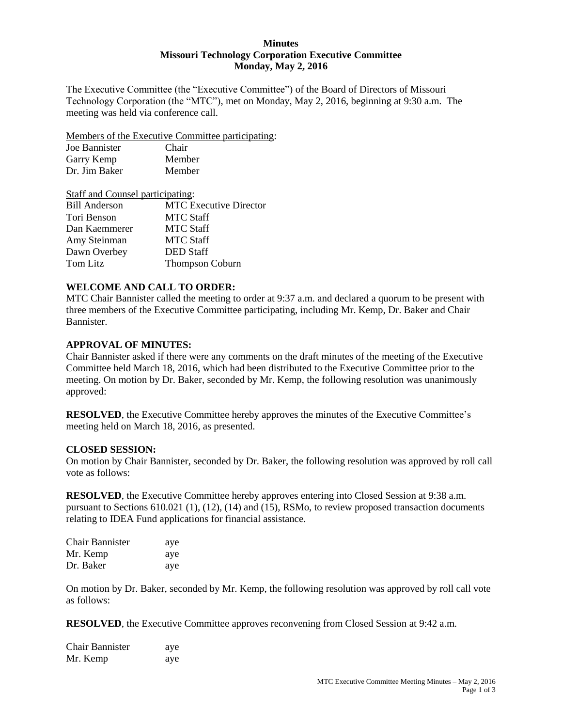#### **Minutes Missouri Technology Corporation Executive Committee Monday, May 2, 2016**

The Executive Committee (the "Executive Committee") of the Board of Directors of Missouri Technology Corporation (the "MTC"), met on Monday, May 2, 2016, beginning at 9:30 a.m. The meeting was held via conference call.

Members of the Executive Committee participating:

| Joe Bannister | Chair  |
|---------------|--------|
| Garry Kemp    | Member |
| Dr. Jim Baker | Member |

| Staff and Counsel participating: |                               |  |
|----------------------------------|-------------------------------|--|
| <b>Bill Anderson</b>             | <b>MTC</b> Executive Director |  |
| Tori Benson                      | <b>MTC Staff</b>              |  |
| Dan Kaemmerer                    | <b>MTC Staff</b>              |  |
| Amy Steinman                     | <b>MTC Staff</b>              |  |
| Dawn Overbey                     | <b>DED</b> Staff              |  |
| Tom Litz                         | <b>Thompson Coburn</b>        |  |

## **WELCOME AND CALL TO ORDER:**

MTC Chair Bannister called the meeting to order at 9:37 a.m. and declared a quorum to be present with three members of the Executive Committee participating, including Mr. Kemp, Dr. Baker and Chair Bannister.

## **APPROVAL OF MINUTES:**

Chair Bannister asked if there were any comments on the draft minutes of the meeting of the Executive Committee held March 18, 2016, which had been distributed to the Executive Committee prior to the meeting. On motion by Dr. Baker, seconded by Mr. Kemp, the following resolution was unanimously approved:

**RESOLVED**, the Executive Committee hereby approves the minutes of the Executive Committee's meeting held on March 18, 2016, as presented.

## **CLOSED SESSION:**

On motion by Chair Bannister, seconded by Dr. Baker, the following resolution was approved by roll call vote as follows:

**RESOLVED**, the Executive Committee hereby approves entering into Closed Session at 9:38 a.m. pursuant to Sections 610.021 (1), (12), (14) and (15), RSMo, to review proposed transaction documents relating to IDEA Fund applications for financial assistance.

| <b>Chair Bannister</b> | aye |
|------------------------|-----|
| Mr. Kemp               | aye |
| Dr. Baker              | aye |

On motion by Dr. Baker, seconded by Mr. Kemp, the following resolution was approved by roll call vote as follows:

**RESOLVED**, the Executive Committee approves reconvening from Closed Session at 9:42 a.m.

| <b>Chair Bannister</b> | aye |
|------------------------|-----|
| Mr. Kemp               | aye |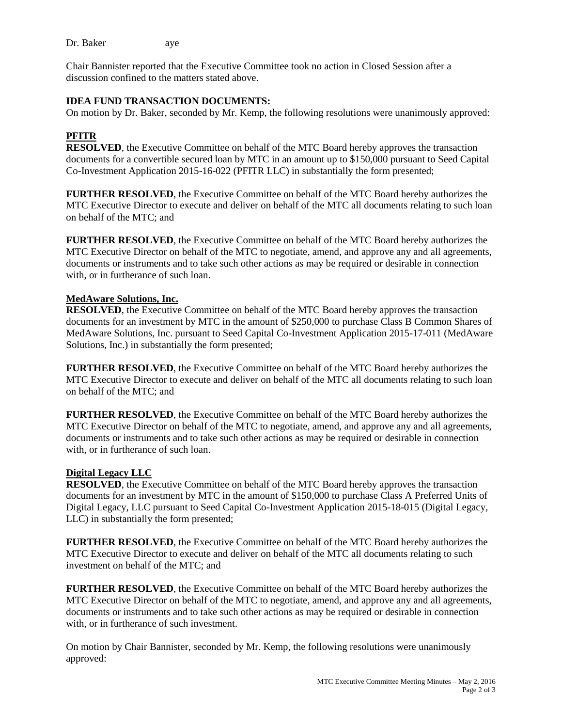Dr. Baker aye

Chair Bannister reported that the Executive Committee took no action in Closed Session after a discussion confined to the matters stated above.

## **IDEA FUND TRANSACTION DOCUMENTS:**

On motion by Dr. Baker, seconded by Mr. Kemp, the following resolutions were unanimously approved:

# **PFITR**

**RESOLVED**, the Executive Committee on behalf of the MTC Board hereby approves the transaction documents for a convertible secured loan by MTC in an amount up to \$150,000 pursuant to Seed Capital Co-Investment Application 2015-16-022 (PFITR LLC) in substantially the form presented;

**FURTHER RESOLVED**, the Executive Committee on behalf of the MTC Board hereby authorizes the MTC Executive Director to execute and deliver on behalf of the MTC all documents relating to such loan on behalf of the MTC; and

**FURTHER RESOLVED**, the Executive Committee on behalf of the MTC Board hereby authorizes the MTC Executive Director on behalf of the MTC to negotiate, amend, and approve any and all agreements, documents or instruments and to take such other actions as may be required or desirable in connection with, or in furtherance of such loan.

## **MedAware Solutions, Inc.**

**RESOLVED**, the Executive Committee on behalf of the MTC Board hereby approves the transaction documents for an investment by MTC in the amount of \$250,000 to purchase Class B Common Shares of MedAware Solutions, Inc. pursuant to Seed Capital Co-Investment Application 2015-17-011 (MedAware Solutions, Inc.) in substantially the form presented;

**FURTHER RESOLVED**, the Executive Committee on behalf of the MTC Board hereby authorizes the MTC Executive Director to execute and deliver on behalf of the MTC all documents relating to such loan on behalf of the MTC; and

**FURTHER RESOLVED**, the Executive Committee on behalf of the MTC Board hereby authorizes the MTC Executive Director on behalf of the MTC to negotiate, amend, and approve any and all agreements, documents or instruments and to take such other actions as may be required or desirable in connection with, or in furtherance of such loan.

## **Digital Legacy LLC**

**RESOLVED**, the Executive Committee on behalf of the MTC Board hereby approves the transaction documents for an investment by MTC in the amount of \$150,000 to purchase Class A Preferred Units of Digital Legacy, LLC pursuant to Seed Capital Co-Investment Application 2015-18-015 (Digital Legacy, LLC) in substantially the form presented;

**FURTHER RESOLVED**, the Executive Committee on behalf of the MTC Board hereby authorizes the MTC Executive Director to execute and deliver on behalf of the MTC all documents relating to such investment on behalf of the MTC; and

**FURTHER RESOLVED**, the Executive Committee on behalf of the MTC Board hereby authorizes the MTC Executive Director on behalf of the MTC to negotiate, amend, and approve any and all agreements, documents or instruments and to take such other actions as may be required or desirable in connection with, or in furtherance of such investment.

On motion by Chair Bannister, seconded by Mr. Kemp, the following resolutions were unanimously approved: